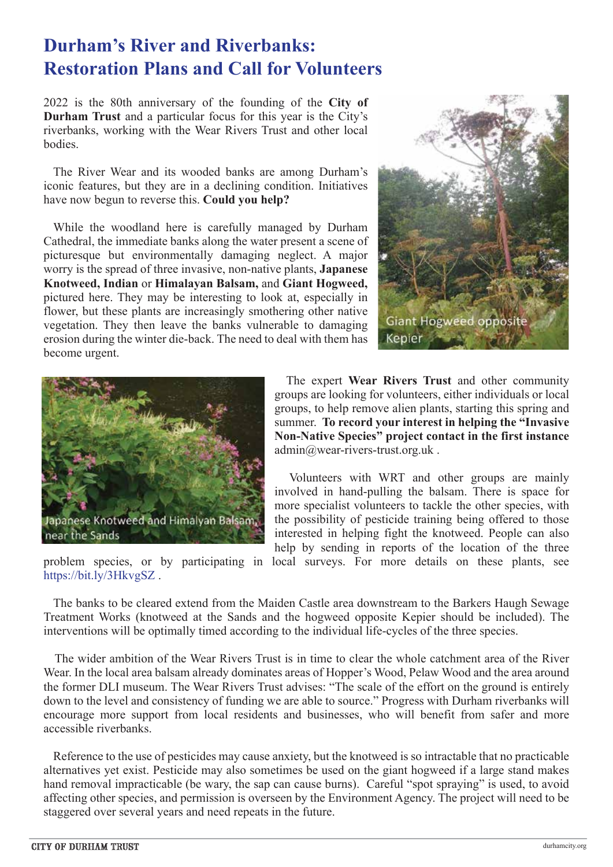## **Durham's River and Riverbanks: Restoration Plans and Call for Volunteers**

2022 is the 80th anniversary of the founding of the **City of Durham Trust** and a particular focus for this year is the City's riverbanks, working with the Wear Rivers Trust and other local bodies.

 The River Wear and its wooded banks are among Durham's iconic features, but they are in a declining condition. Initiatives have now begun to reverse this. **Could you help?**

 While the woodland here is carefully managed by Durham Cathedral, the immediate banks along the water present a scene of picturesque but environmentally damaging neglect. A major worry is the spread of three invasive, non-native plants, **Japanese Knotweed, Indian** or **Himalayan Balsam,** and **Giant Hogweed,** pictured here. They may be interesting to look at, especially in flower, but these plants are increasingly smothering other native vegetation. They then leave the banks vulnerable to damaging erosion during the winter die-back. The need to deal with them has become urgent.





problem species, or by participating in local surveys. For more details on these plants, see https://bit.ly/3HkvgSZ .

 The expert **Wear Rivers Trust** and other community groups are looking for volunteers, either individuals or local groups, to help remove alien plants, starting this spring and summer. **To record your interest in helping the "Invasive Non-Native Species" project contact in the first instance** admin@wear-rivers-trust.org.uk .

 Volunteers with WRT and other groups are mainly involved in hand-pulling the balsam. There is space for more specialist volunteers to tackle the other species, with the possibility of pesticide training being offered to those interested in helping fight the knotweed. People can also help by sending in reports of the location of the three

 The banks to be cleared extend from the Maiden Castle area downstream to the Barkers Haugh Sewage Treatment Works (knotweed at the Sands and the hogweed opposite Kepier should be included). The interventions will be optimally timed according to the individual life-cycles of the three species.

 The wider ambition of the Wear Rivers Trust is in time to clear the whole catchment area of the River Wear. In the local area balsam already dominates areas of Hopper's Wood, Pelaw Wood and the area around the former DLI museum. The Wear Rivers Trust advises: "The scale of the effort on the ground is entirely down to the level and consistency of funding we are able to source." Progress with Durham riverbanks will encourage more support from local residents and businesses, who will benefit from safer and more accessible riverbanks.

 Reference to the use of pesticides may cause anxiety, but the knotweed is so intractable that no practicable alternatives yet exist. Pesticide may also sometimes be used on the giant hogweed if a large stand makes hand removal impracticable (be wary, the sap can cause burns). Careful "spot spraying" is used, to avoid affecting other species, and permission is overseen by the Environment Agency. The project will need to be staggered over several years and need repeats in the future.